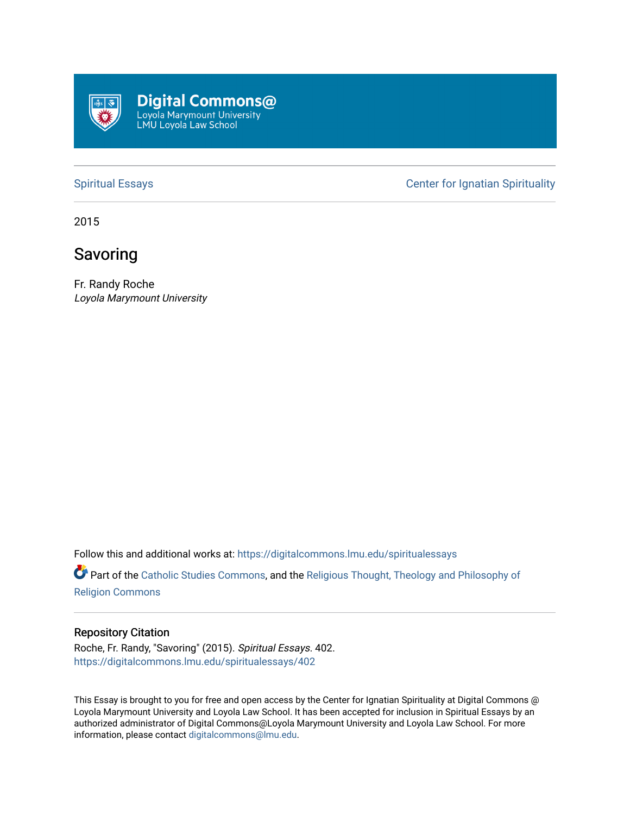

[Spiritual Essays](https://digitalcommons.lmu.edu/spiritualessays) **Center for Ignatian Spirituality** 

2015

## Savoring

Fr. Randy Roche Loyola Marymount University

Follow this and additional works at: [https://digitalcommons.lmu.edu/spiritualessays](https://digitalcommons.lmu.edu/spiritualessays?utm_source=digitalcommons.lmu.edu%2Fspiritualessays%2F402&utm_medium=PDF&utm_campaign=PDFCoverPages)

Part of the [Catholic Studies Commons](http://network.bepress.com/hgg/discipline/1294?utm_source=digitalcommons.lmu.edu%2Fspiritualessays%2F402&utm_medium=PDF&utm_campaign=PDFCoverPages), and the [Religious Thought, Theology and Philosophy of](http://network.bepress.com/hgg/discipline/544?utm_source=digitalcommons.lmu.edu%2Fspiritualessays%2F402&utm_medium=PDF&utm_campaign=PDFCoverPages)  [Religion Commons](http://network.bepress.com/hgg/discipline/544?utm_source=digitalcommons.lmu.edu%2Fspiritualessays%2F402&utm_medium=PDF&utm_campaign=PDFCoverPages)

## Repository Citation

Roche, Fr. Randy, "Savoring" (2015). Spiritual Essays. 402. [https://digitalcommons.lmu.edu/spiritualessays/402](https://digitalcommons.lmu.edu/spiritualessays/402?utm_source=digitalcommons.lmu.edu%2Fspiritualessays%2F402&utm_medium=PDF&utm_campaign=PDFCoverPages)

This Essay is brought to you for free and open access by the Center for Ignatian Spirituality at Digital Commons @ Loyola Marymount University and Loyola Law School. It has been accepted for inclusion in Spiritual Essays by an authorized administrator of Digital Commons@Loyola Marymount University and Loyola Law School. For more information, please contact [digitalcommons@lmu.edu.](mailto:digitalcommons@lmu.edu)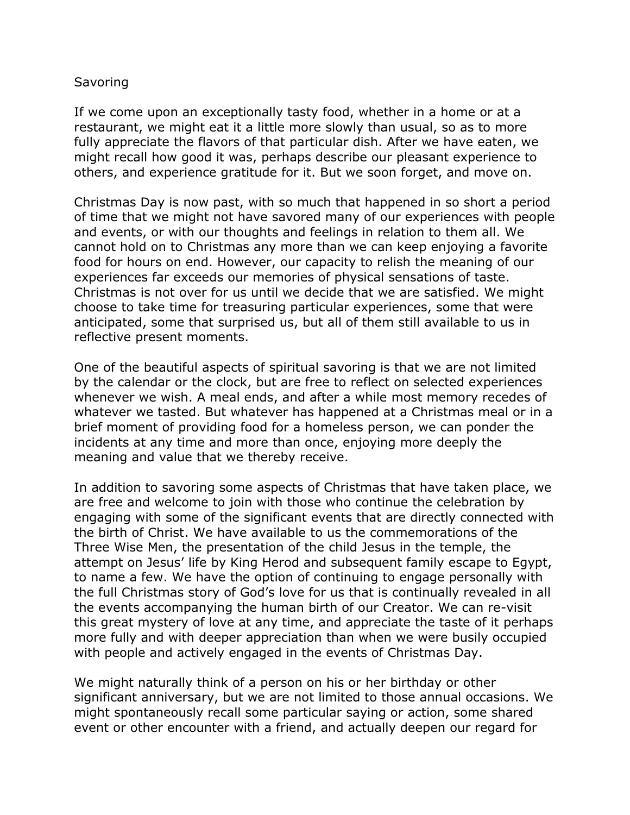## **Savoring**

If we come upon an exceptionally tasty food, whether in a home or at a restaurant, we might eat it a little more slowly than usual, so as to more fully appreciate the flavors of that particular dish. After we have eaten, we might recall how good it was, perhaps describe our pleasant experience to others, and experience gratitude for it. But we soon forget, and move on.

Christmas Day is now past, with so much that happened in so short a period of time that we might not have savored many of our experiences with people and events, or with our thoughts and feelings in relation to them all. We cannot hold on to Christmas any more than we can keep enjoying a favorite food for hours on end. However, our capacity to relish the meaning of our experiences far exceeds our memories of physical sensations of taste. Christmas is not over for us until we decide that we are satisfied. We might choose to take time for treasuring particular experiences, some that were anticipated, some that surprised us, but all of them still available to us in reflective present moments.

One of the beautiful aspects of spiritual savoring is that we are not limited by the calendar or the clock, but are free to reflect on selected experiences whenever we wish. A meal ends, and after a while most memory recedes of whatever we tasted. But whatever has happened at a Christmas meal or in a brief moment of providing food for a homeless person, we can ponder the incidents at any time and more than once, enjoying more deeply the meaning and value that we thereby receive.

In addition to savoring some aspects of Christmas that have taken place, we are free and welcome to join with those who continue the celebration by engaging with some of the significant events that are directly connected with the birth of Christ. We have available to us the commemorations of the Three Wise Men, the presentation of the child Jesus in the temple, the attempt on Jesus' life by King Herod and subsequent family escape to Egypt, to name a few. We have the option of continuing to engage personally with the full Christmas story of God's love for us that is continually revealed in all the events accompanying the human birth of our Creator. We can re-visit this great mystery of love at any time, and appreciate the taste of it perhaps more fully and with deeper appreciation than when we were busily occupied with people and actively engaged in the events of Christmas Day.

We might naturally think of a person on his or her birthday or other significant anniversary, but we are not limited to those annual occasions. We might spontaneously recall some particular saying or action, some shared event or other encounter with a friend, and actually deepen our regard for